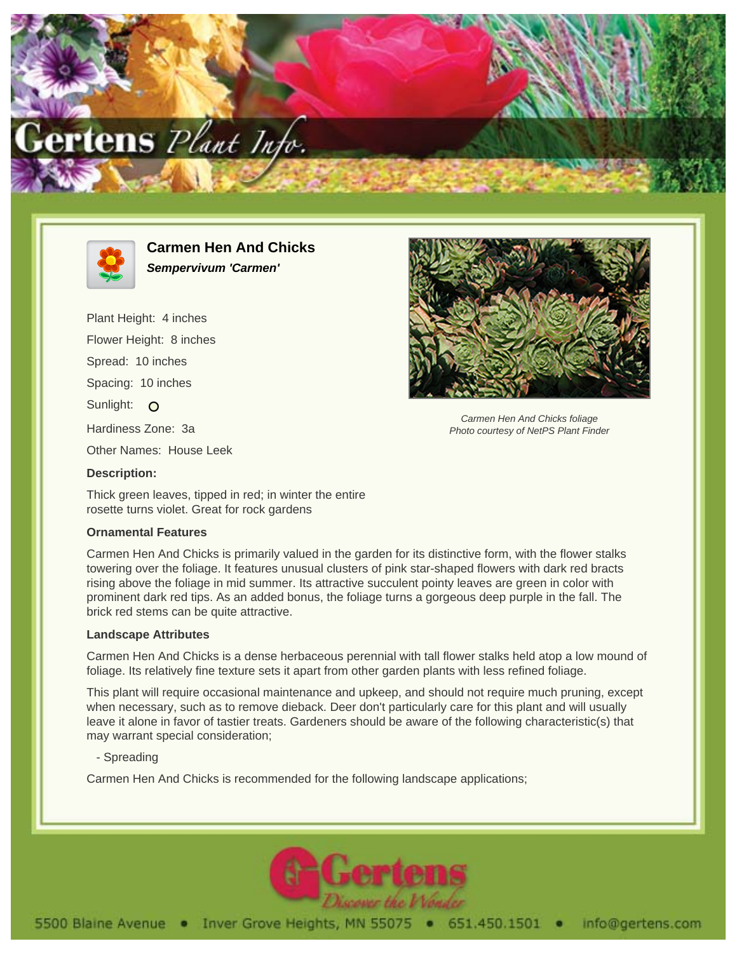



**Carmen Hen And Chicks Sempervivum 'Carmen'**

Plant Height: 4 inches Flower Height: 8 inches Spread: 10 inches Spacing: 10 inches Sunlight: O Hardiness Zone: 3a Other Names: House Leek **Description:**



Carmen Hen And Chicks foliage Photo courtesy of NetPS Plant Finder

Thick green leaves, tipped in red; in winter the entire rosette turns violet. Great for rock gardens

## **Ornamental Features**

Carmen Hen And Chicks is primarily valued in the garden for its distinctive form, with the flower stalks towering over the foliage. It features unusual clusters of pink star-shaped flowers with dark red bracts rising above the foliage in mid summer. Its attractive succulent pointy leaves are green in color with prominent dark red tips. As an added bonus, the foliage turns a gorgeous deep purple in the fall. The brick red stems can be quite attractive.

## **Landscape Attributes**

Carmen Hen And Chicks is a dense herbaceous perennial with tall flower stalks held atop a low mound of foliage. Its relatively fine texture sets it apart from other garden plants with less refined foliage.

This plant will require occasional maintenance and upkeep, and should not require much pruning, except when necessary, such as to remove dieback. Deer don't particularly care for this plant and will usually leave it alone in favor of tastier treats. Gardeners should be aware of the following characteristic(s) that may warrant special consideration;

- Spreading

Carmen Hen And Chicks is recommended for the following landscape applications;